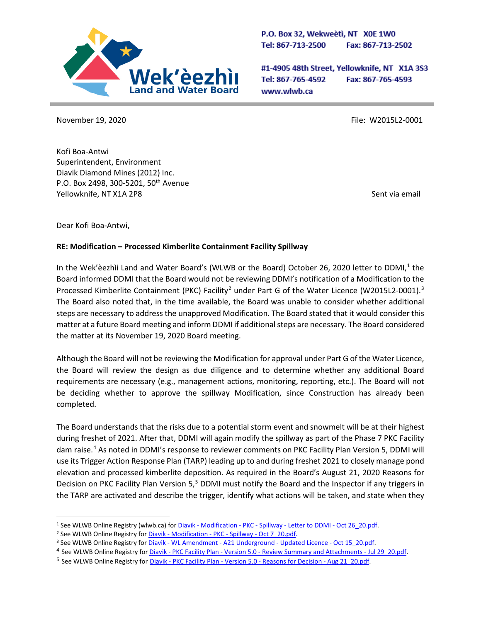

P.O. Box 32, Wekweeti, NT X0E 1W0 Tel: 867-713-2500 Fax: 867-713-2502

#1-4905 48th Street, Yellowknife, NT X1A 3S3 Tel: 867-765-4592 Fax: 867-765-4593 www.wlwb.ca

November 19, 2020 **File: W2015L2-0001** 

Kofi Boa-Antwi Superintendent, Environment Diavik Diamond Mines (2012) Inc. P.O. Box 2498, 300-5201, 50<sup>th</sup> Avenue Yellowknife, NT X1A 2P8 Sent via email

Dear Kofi Boa-Antwi,

## **RE: Modification – Processed Kimberlite Containment Facility Spillway**

In the Wek'eezhii Land and Water Board's (WLWB or the Board) October 26, 2020 letter to DDMI,<sup>1</sup> the Board informed DDMI that the Board would not be reviewing DDMI's notification of a Modification to the Processed Kimberlite Containment (PKC) Facility<sup>[2](#page-0-1)</sup> under Part G of the Water Licence (W2015L2-0001).<sup>[3](#page-0-2)</sup> The Board also noted that, in the time available, the Board was unable to consider whether additional steps are necessary to address the unapproved Modification. The Board stated that it would consider this matter at a future Board meeting and inform DDMI if additional steps are necessary. The Board considered the matter at its November 19, 2020 Board meeting.

Although the Board will not be reviewing the Modification for approval under Part G of the Water Licence, the Board will review the design as due diligence and to determine whether any additional Board requirements are necessary (e.g., management actions, monitoring, reporting, etc.). The Board will not be deciding whether to approve the spillway Modification, since Construction has already been completed.

The Board understands that the risks due to a potential storm event and snowmelt will be at their highest during freshet of 2021. After that, DDMI will again modify the spillway as part of the Phase 7 PKC Facility dam raise.[4](#page-0-3) As noted in DDMI's response to reviewer comments on PKC Facility Plan Version 5, DDMI will use its Trigger Action Response Plan (TARP) leading up to and during freshet 2021 to closely manage pond elevation and processed kimberlite deposition. As required in the Board's August 21, 2020 Reasons for Decision on PKC Facility Plan Version [5](#page-0-4),<sup>5</sup> DDMI must notify the Board and the Inspector if any triggers in the TARP are activated and describe the trigger, identify what actions will be taken, and state when they

<span id="page-0-0"></span><sup>&</sup>lt;sup>1</sup> See WLWB Online Registry (wlwb.ca) for *Diavik - Modification - PKC - Spillway - [Letter to DDMI -](http://registry.mvlwb.ca/Documents/W2015L2-0001/Diavik%20-%20Modification%20-%20PKC%20-%20Spillway%20-%20Letter%20to%20DDMI%20-%20Oct%2026_20.pdf) Oct 26 20.pdf.* 

<span id="page-0-1"></span><sup>&</sup>lt;sup>2</sup> See WLWB Online Registry for Diavik - [Modification -](http://registry.mvlwb.ca/Documents/W2015L2-0001/Diavik%20-%20Modification%20-%20PKC%20-%20Spillway%20-%20Oct%207_20.pdf) PKC - Spillway - Oct 7 20.pdf.

<span id="page-0-2"></span><sup>&</sup>lt;sup>3</sup> See WLWB Online Registry for Diavik - WL Amendment - [A21 Underground -](http://registry.mvlwb.ca/Documents/W2015L2-0001/Diavik%20-%20WL%20Amendment%20-%20A21%20Underground%20-%20Updated%20Licence%20-%20Oct%2015_20.pdf) Updated Licence - Oct 15 20.pdf.

<span id="page-0-4"></span><span id="page-0-3"></span><sup>4</sup> See WLWB Online Registry for Diavik - PKC Facility Plan - Version 5.0 - [Review Summary and Attachments -](http://registry.mvlwb.ca/Documents/W2015L2-0001/Diavik%20-%20PKC%20Facility%20Plan%20-%20Version%205.0%20-%20Review%20Summary%20and%20Attachments%20-%20Jul%2029_20.pdf) Jul 29\_20.pdf.

<sup>&</sup>lt;sup>5</sup> See WLWB Online Registry for *Diavik - PKC Facility Plan - Version 5.0 - [Reasons for Decision -](http://registry.mvlwb.ca/Documents/W2015L2-0001/Diavik%20-%20PKC%20Facility%20Plan%20-%20Version%205.0%20-%20Reasons%20for%20Decision%20-%20Aug%2021_20.pdf) Aug 21\_20.pdf.*